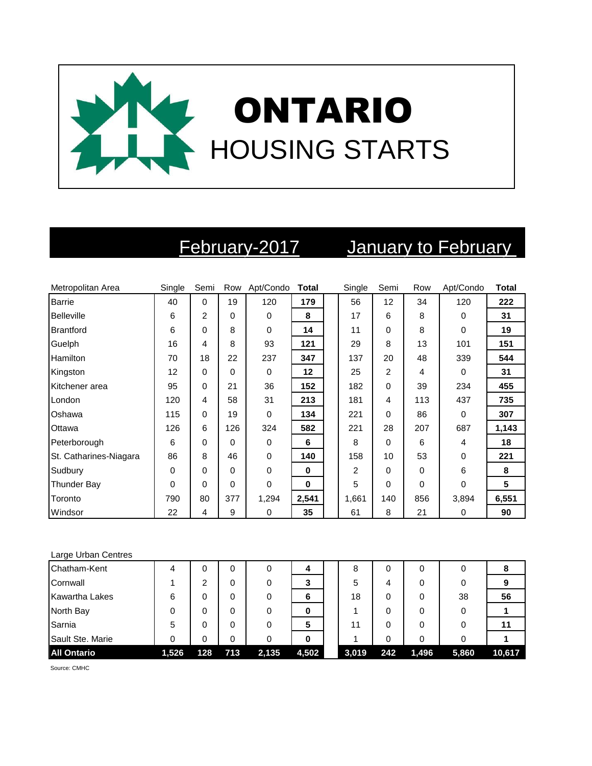

# February-2017 January to February

| Metropolitan Area      | Single      | Semi |          | Row Apt/Condo | Total    | Single | Semi           | Row | Apt/Condo   | <b>Total</b> |
|------------------------|-------------|------|----------|---------------|----------|--------|----------------|-----|-------------|--------------|
| <b>Barrie</b>          | 40          | 0    | 19       | 120           | 179      | 56     | 12             | 34  | 120         | 222          |
| <b>Belleville</b>      | 6           | 2    | $\Omega$ | 0             | 8        | 17     | 6              | 8   | $\Omega$    | 31           |
| <b>Brantford</b>       | 6           | 0    | 8        | 0             | 14       | 11     | 0              | 8   | $\Omega$    | 19           |
| Guelph                 | 16          | 4    | 8        | 93            | 121      | 29     | 8              | 13  | 101         | 151          |
| <b>Hamilton</b>        | 70          | 18   | 22       | 237           | 347      | 137    | 20             | 48  | 339         | 544          |
| Kingston               | 12          | 0    | $\Omega$ | $\mathbf 0$   | 12       | 25     | $\overline{2}$ | 4   | $\Omega$    | 31           |
| Kitchener area         | 95          | 0    | 21       | 36            | 152      | 182    | 0              | 39  | 234         | 455          |
| London                 | 120         | 4    | 58       | 31            | 213      | 181    | 4              | 113 | 437         | 735          |
| Oshawa                 | 115         | 0    | 19       | $\mathbf 0$   | 134      | 221    | 0              | 86  | $\mathbf 0$ | 307          |
| Ottawa                 | 126         | 6    | 126      | 324           | 582      | 221    | 28             | 207 | 687         | 1,143        |
| Peterborough           | 6           | 0    | $\Omega$ | $\mathbf 0$   | 6        | 8      | 0              | 6   | 4           | 18           |
| St. Catharines-Niagara | 86          | 8    | 46       | $\mathbf 0$   | 140      | 158    | 10             | 53  | $\Omega$    | 221          |
| Sudbury                | $\mathbf 0$ | 0    | $\Omega$ | $\mathbf 0$   | $\bf{0}$ | 2      | 0              | 0   | 6           | 8            |
| <b>Thunder Bay</b>     | 0           | 0    | 0        | 0             | $\bf{0}$ | 5      | 0              | 0   | $\Omega$    | 5            |
| Toronto                | 790         | 80   | 377      | 1,294         | 2,541    | 1,661  | 140            | 856 | 3,894       | 6,551        |
| Windsor                | 22          | 4    | 9        | 0             | 35       | 61     | 8              | 21  | $\mathbf 0$ | 90           |

### Large Urban Centres

| Chatham-Kent          | 4     | 0   |     | 0     | 4     | 8     |     | 0     |       | ၓ      |
|-----------------------|-------|-----|-----|-------|-------|-------|-----|-------|-------|--------|
| Cornwall              |       | 2   | 0   |       | 3     | 5     | 4   | 0     |       |        |
| <b>Kawartha Lakes</b> | 6     | 0   | 0   | 0     | 6     | 18    | 0   | 0     | 38    | 56     |
| North Bay             |       | 0   | 0   | 0     | 0     |       |     | 0     |       |        |
| Sarnia                | 5     | 0   | 0   | 0     | 5     | 11    |     | 0     |       | 11     |
| Sault Ste. Marie      |       | 0   | 0   |       |       |       | 0   | 0     |       |        |
| <b>All Ontario</b>    | 1,526 | 128 | 713 | 2,135 | 4,502 | 3,019 | 242 | 1,496 | 5,860 | 10,617 |

Source: CMHC